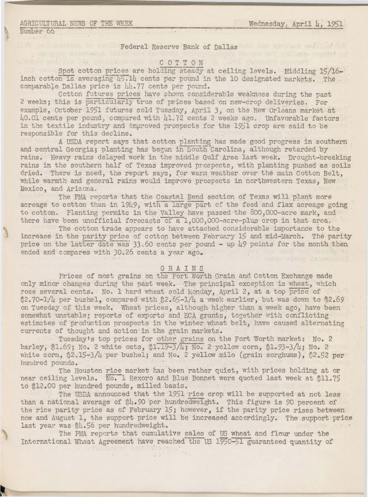### AGRICULTURAL NEWS OF THE WEEK

Wednesday. April 4. 1951

on was fame and friend the

Pro martin

Number 66

### Federal Reserve Bank of Dallas

## COTTON

Spot cotton prices are holding steady at ceiling levels. Middling 15/16inch cotton is averaging 45.14 cents per pound in the 10 designated markets. The. comparable Dallas price is 44.77 cents per pound.

Cotton futures prices have shown considerable weakness during the past 2 weeks; this is particularly true of prices based on new-crop deliveries. For example, October 1951 futures sold Tuesday, April 3, on the New Orleans market at 40.01 cents per pound, compared with 41.72 cents 2 weeks ago. Unfavorable factors in the textile industry and improved prospects for the 1951 crop are said to be responsible for this decline.

A USDA report says that cotton planting has made good progress in southern and central Georgia; planting has begun in South Carolina, although retarded by rains. Heavy rains delayed work in the middle Gulf Area last week. Drought-breaking rains in the southern half of Texas improved prospects, with planting pushed as soils dried. There is need, the report says, for warm weather over the main Cotton Belt, while warmth and general rains would improve prospects in northwestern Texas. New Mexico, and Arizona.

The PMA reports that the Coastal Bend section of Texas will plant more acreage to cotton than in 1949, with a large part of the feed and flax acreage going to cotton. Planting permits in the Valley have passed the 800,000-acre mark, and there have been unofficial forecasts of a 1,000,000-acre-plus crop in that area.

The cotton trade appears to have attached considerable importance to the increase in the parity price of cotton between February 15 and mid-March. The parity price on the latter date was 33.60 cents per pound - up 49 points for the month then ended and compares with 30.26 cents a year ago.

### GRAINS

Prices of most grains on the Fort Worth Grain and Cotton Exchange made only minor changes during the past week. The principal exception is wheat, which rose several cents. No. 1 hard wheat sold Monday, April 2, at a top price of \$2.70-1/4 per bushel, compared with \$2.65-1/4 a week earlier, but was down to \$2.69 on Tuesday of this week. Wheat prices, although higher than a week ago, have been somewhat unstable; reports of exports and ECA grants, together with conflicting estimates of production prospects in the winter wheat belt, have caused alternating currents of thought and action in the grain markets.

Tuesday's top prices for other grains on the Fort Worth market: No. 2 barley, \$1.69; No. 2 white oats, \$1.19-3/4; No. 2 yellow corn, \$1.93-3/4; No. 2 white corn, \$2.15-3/4 per bushel; and No. 2 yellow milo (grain sorghums), \$2.52 per hundred pounds.

The Houston rice market has been rather quiet, with prices holding at or near ceiling levels. No. 1 Rexoro and Blue Bonnet were quoted last week at \$11.75 to \$12.00 per hundred pounds, milled basis.

The USDA announced that the 1951 rice crop will be supported at not less than a national average of  $h_*$ , 90 per hundredweight. This figure is 90 percent of the rice parity price as of February 15; however, if the parity price rises between now and August 1, the support price will be increased accordingly. The support price last year was \$4.56 per hundredweight.

The PMA reports that cumulative sales of US wheat and flour under the International Wheat Agreement have reached the US 1950-51 guaranteed quantity of